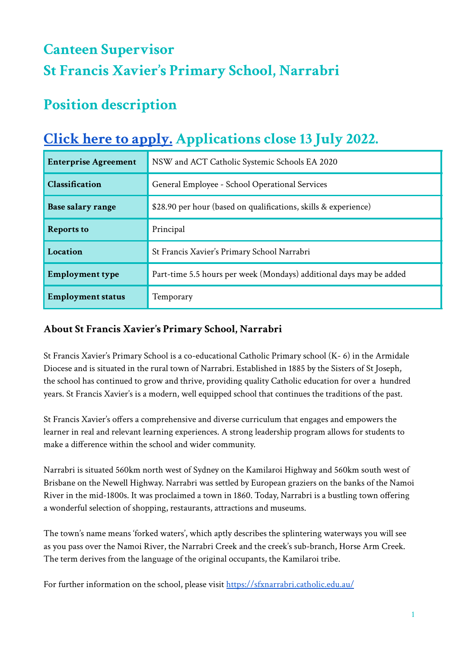# **Canteen Supervisor St Francis Xavier ' s Primary School, Narrabri**

## **Position description**

## **Click here to [apply.](https://www.surveymonkey.com/r/9326V2K) Applications close 13 July 2022.**

| <b>Enterprise Agreement</b> | NSW and ACT Catholic Systemic Schools EA 2020                       |
|-----------------------------|---------------------------------------------------------------------|
| Classification              | General Employee - School Operational Services                      |
| Base salary range           | \$28.90 per hour (based on qualifications, skills & experience)     |
| <b>Reports to</b>           | Principal                                                           |
| Location                    | St Francis Xavier's Primary School Narrabri                         |
| <b>Employment type</b>      | Part-time 5.5 hours per week (Mondays) additional days may be added |
| <b>Employment status</b>    | Temporary                                                           |

## **About St Francis Xavier's Primary School, Narrabri**

St Francis Xavier's Primary School is a co-educational Catholic Primary school (K- 6) in the Armidale Diocese and is situated in the rural town of Narrabri. Established in 1885 by the Sisters of St Joseph, the school has continued to grow and thrive, providing quality Catholic education for over a hundred years. St Francis Xavier's is a modern, well equipped school that continues the traditions of the past.

St Francis Xavier's offers a comprehensive and diverse curriculum that engages and empowers the learner in real and relevant learning experiences. A strong leadership program allows for students to make a difference within the school and wider community.

Narrabri is situated 560km north west of Sydney on the Kamilaroi Highway and 560km south west of Brisbane on the Newell Highway. Narrabri was settled by European graziers on the banks of the Namoi River in the mid-1800s. It was proclaimed a town in 1860. Today, Narrabri is a bustling town offering a wonderful selection of shopping, restaurants, attractions and museums.

The town's name means 'forked waters', which aptly describes the splintering waterways you will see as you pass over the Namoi River, the Narrabri Creek and the creek's sub-branch, Horse Arm Creek. The term derives from the language of the original occupants, the Kamilaroi tribe.

For further information on the school, please visit <https://sfxnarrabri.catholic.edu.au/>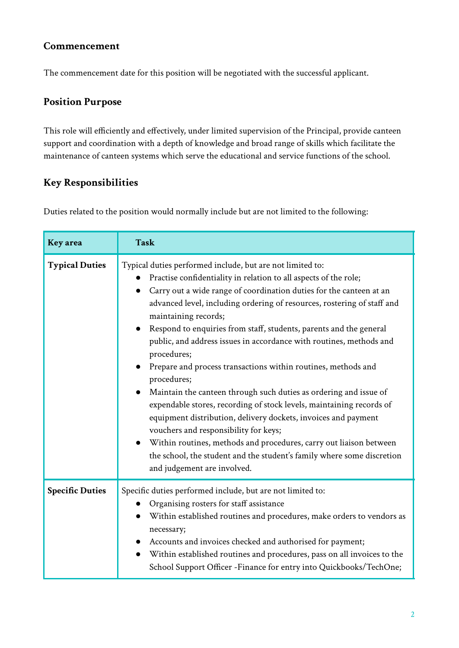#### **Commencement**

The commencement date for this position will be negotiated with the successful applicant.

#### **Position Purpose**

This role will efficiently and effectively, under limited supervision of the Principal, provide canteen support and coordination with a depth of knowledge and broad range of skills which facilitate the maintenance of canteen systems which serve the educational and service functions of the school.

### **Key Responsibilities**

Duties related to the position would normally include but are not limited to the following:

| <b>Key</b> area        | <b>Task</b>                                                                                                                                                                                                                                                                                                                                                                                                                                                                                                                                                                                                                                                                                                                                                                                                                                                                                                                                                                                |
|------------------------|--------------------------------------------------------------------------------------------------------------------------------------------------------------------------------------------------------------------------------------------------------------------------------------------------------------------------------------------------------------------------------------------------------------------------------------------------------------------------------------------------------------------------------------------------------------------------------------------------------------------------------------------------------------------------------------------------------------------------------------------------------------------------------------------------------------------------------------------------------------------------------------------------------------------------------------------------------------------------------------------|
| <b>Typical Duties</b>  | Typical duties performed include, but are not limited to:<br>Practise confidentiality in relation to all aspects of the role;<br>Carry out a wide range of coordination duties for the canteen at an<br>advanced level, including ordering of resources, rostering of staff and<br>maintaining records;<br>Respond to enquiries from staff, students, parents and the general<br>public, and address issues in accordance with routines, methods and<br>procedures;<br>Prepare and process transactions within routines, methods and<br>procedures;<br>Maintain the canteen through such duties as ordering and issue of<br>expendable stores, recording of stock levels, maintaining records of<br>equipment distribution, delivery dockets, invoices and payment<br>vouchers and responsibility for keys;<br>Within routines, methods and procedures, carry out liaison between<br>the school, the student and the student's family where some discretion<br>and judgement are involved. |
| <b>Specific Duties</b> | Specific duties performed include, but are not limited to:<br>Organising rosters for staff assistance<br>Within established routines and procedures, make orders to vendors as<br>necessary;<br>Accounts and invoices checked and authorised for payment;<br>Within established routines and procedures, pass on all invoices to the<br>School Support Officer - Finance for entry into Quickbooks/TechOne;                                                                                                                                                                                                                                                                                                                                                                                                                                                                                                                                                                                |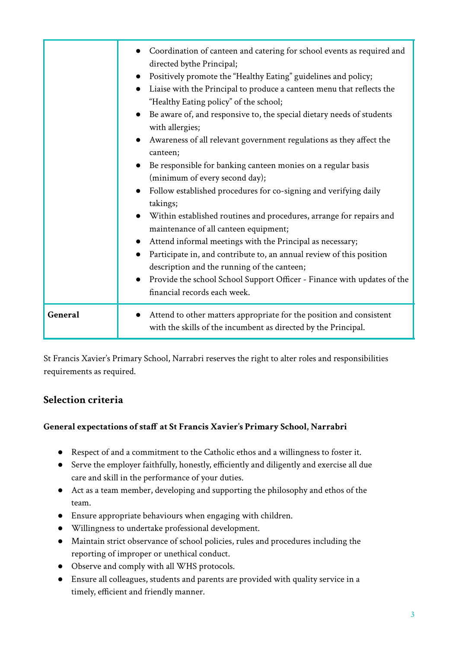|         | Coordination of canteen and catering for school events as required and<br>directed bythe Principal;<br>Positively promote the "Healthy Eating" guidelines and policy;<br>Liaise with the Principal to produce a canteen menu that reflects the<br>"Healthy Eating policy" of the school;<br>Be aware of, and responsive to, the special dietary needs of students<br>with allergies;<br>Awareness of all relevant government regulations as they affect the<br>canteen;<br>Be responsible for banking canteen monies on a regular basis<br>(minimum of every second day);<br>Follow established procedures for co-signing and verifying daily<br>takings;<br>Within established routines and procedures, arrange for repairs and<br>maintenance of all canteen equipment;<br>Attend informal meetings with the Principal as necessary;<br>Participate in, and contribute to, an annual review of this position<br>description and the running of the canteen;<br>Provide the school School Support Officer - Finance with updates of the<br>financial records each week. |
|---------|--------------------------------------------------------------------------------------------------------------------------------------------------------------------------------------------------------------------------------------------------------------------------------------------------------------------------------------------------------------------------------------------------------------------------------------------------------------------------------------------------------------------------------------------------------------------------------------------------------------------------------------------------------------------------------------------------------------------------------------------------------------------------------------------------------------------------------------------------------------------------------------------------------------------------------------------------------------------------------------------------------------------------------------------------------------------------|
| General | Attend to other matters appropriate for the position and consistent<br>with the skills of the incumbent as directed by the Principal.                                                                                                                                                                                                                                                                                                                                                                                                                                                                                                                                                                                                                                                                                                                                                                                                                                                                                                                                    |

St Francis Xavier's Primary School, Narrabri reserves the right to alter roles and responsibilities requirements as required.

#### **Selection criteria**

#### **General expectations of staff at St Francis Xavier's Primary School, Narrabri**

- Respect of and a commitment to the Catholic ethos and a willingness to foster it.
- Serve the employer faithfully, honestly, efficiently and diligently and exercise all due care and skill in the performance of your duties.
- Act as a team member, developing and supporting the philosophy and ethos of the team.
- Ensure appropriate behaviours when engaging with children.
- Willingness to undertake professional development.
- Maintain strict observance of school policies, rules and procedures including the reporting of improper or unethical conduct.
- Observe and comply with all WHS protocols.
- Ensure all colleagues, students and parents are provided with quality service in a timely, efficient and friendly manner.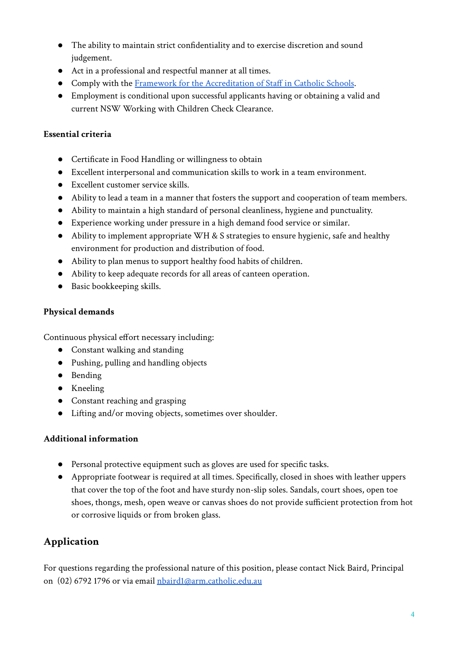- The ability to maintain strict confidentiality and to exercise discretion and sound judgement.
- Act in a professional and respectful manner at all times.
- Comply with the [Framework for the Accreditation of](https://arm.catholic.edu.au/wp-content/uploads/2018/10/Framework-for-the-Accreditation-of-Staff-in-Catholic-Schools.pdf) Staff in Catholic Schools.
- Employment is conditional upon successful applicants having or obtaining a valid and current NSW Working with Children Check Clearance.

#### **Essential criteria**

- Certificate in Food Handling or willingness to obtain
- Excellent interpersonal and communication skills to work in a team environment.
- Excellent customer service skills.
- Ability to lead a team in a manner that fosters the support and cooperation of team members.
- Ability to maintain a high standard of personal cleanliness, hygiene and punctuality.
- Experience working under pressure in a high demand food service or similar.
- Ability to implement appropriate WH & S strategies to ensure hygienic, safe and healthy environment for production and distribution of food.
- Ability to plan menus to support healthy food habits of children.
- Ability to keep adequate records for all areas of canteen operation.
- Basic bookkeeping skills.

#### **Physical demands**

Continuous physical effort necessary including:

- Constant walking and standing
- Pushing, pulling and handling objects
- Bending
- Kneeling
- Constant reaching and grasping
- Lifting and/or moving objects, sometimes over shoulder.

#### **Additional information**

- **●** Personal protective equipment such as gloves are used for specific tasks.
- Appropriate footwear is required at all times. Specifically, closed in shoes with leather uppers that cover the top of the foot and have sturdy non-slip soles. Sandals, court shoes, open toe shoes, thongs, mesh, open weave or canvas shoes do not provide sufficient protection from hot or corrosive liquids or from broken glass.

## **Application**

For questions regarding the professional nature of this position, please contact Nick Baird, Principal on (02) 6792 1796 or via email [nbaird1@arm.catholic.edu.au](mailto:nbaird1@arm.catholic.edu.au)